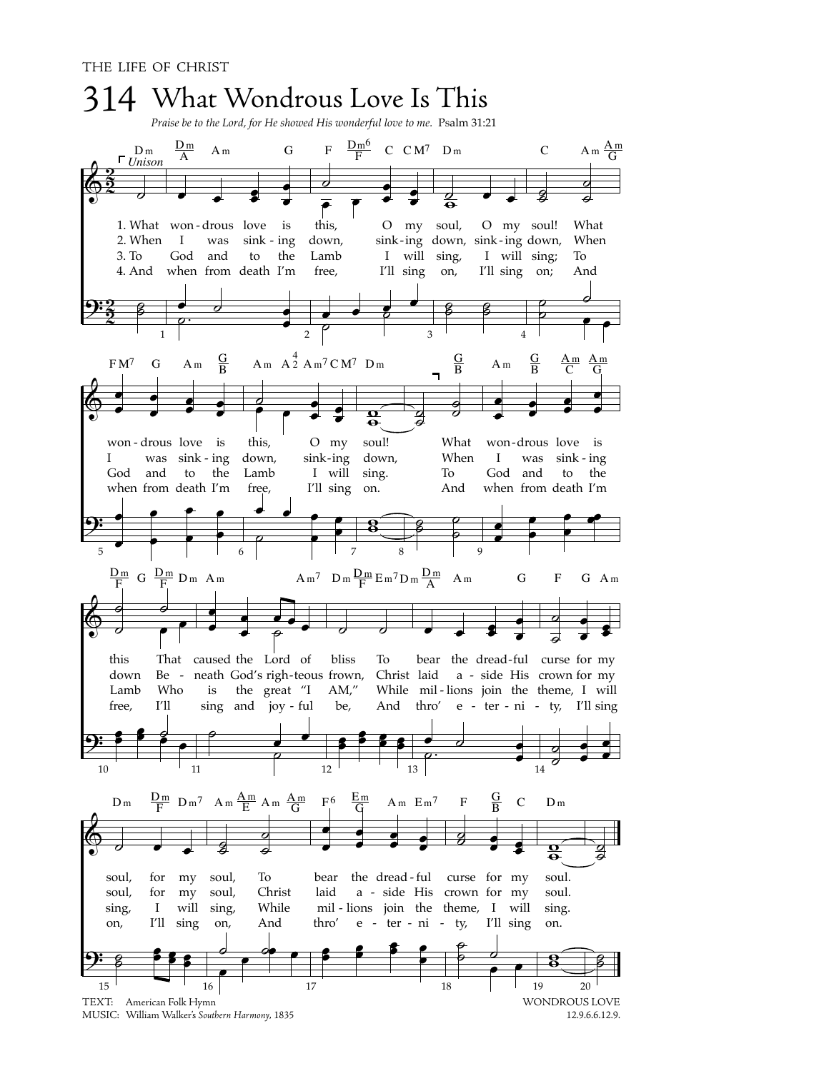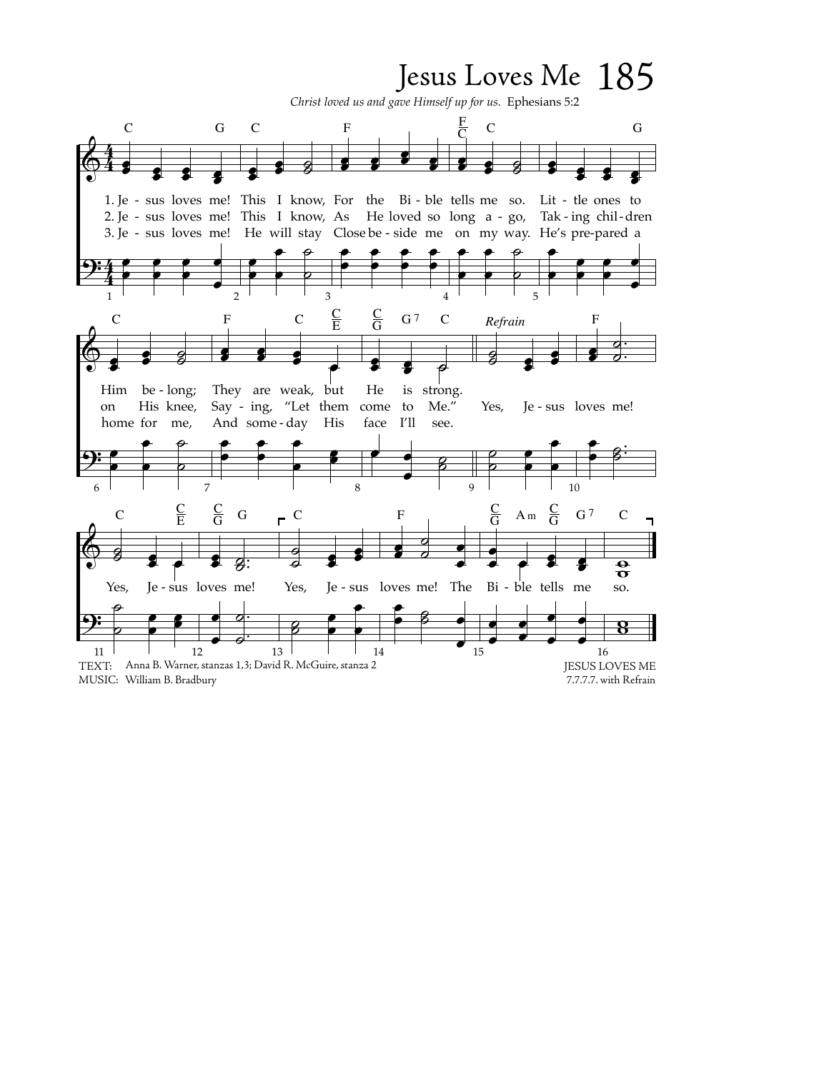## Jesus Loves Me 185

*Christ loved us and gave Himself up for us.* Ephesians 5:2

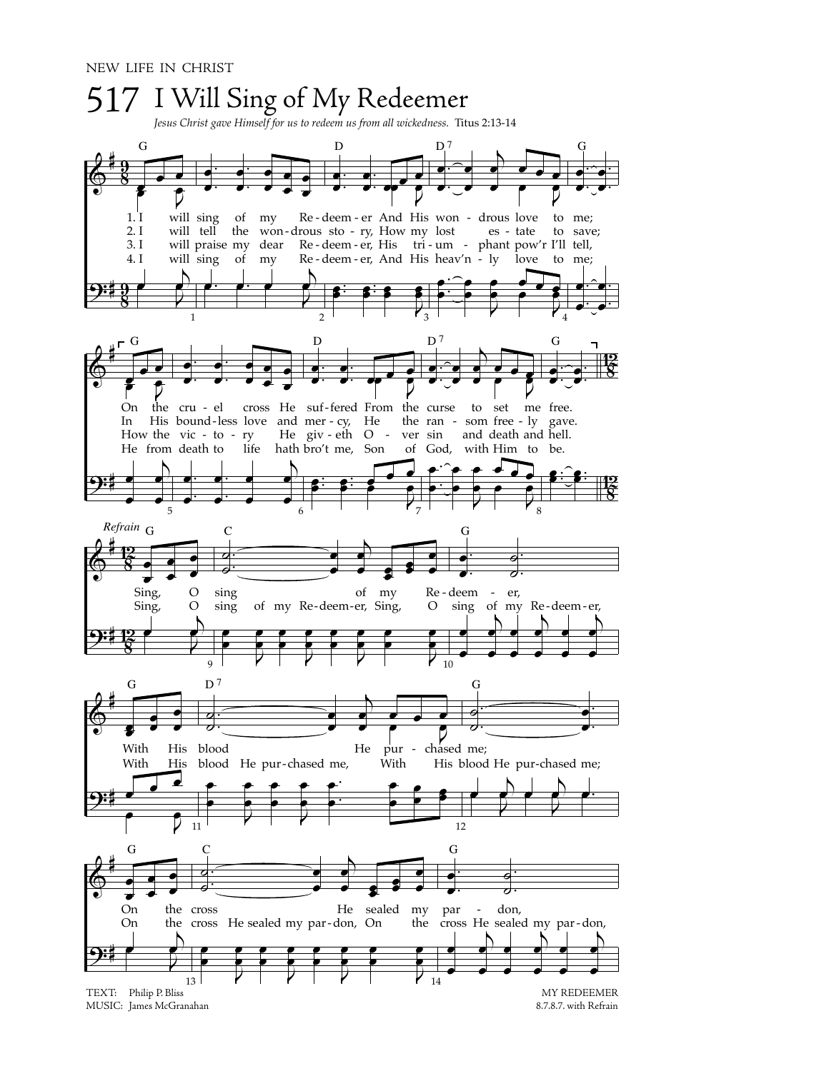

MUSIC: James McGranahan

8.7.8.7. with Refrain